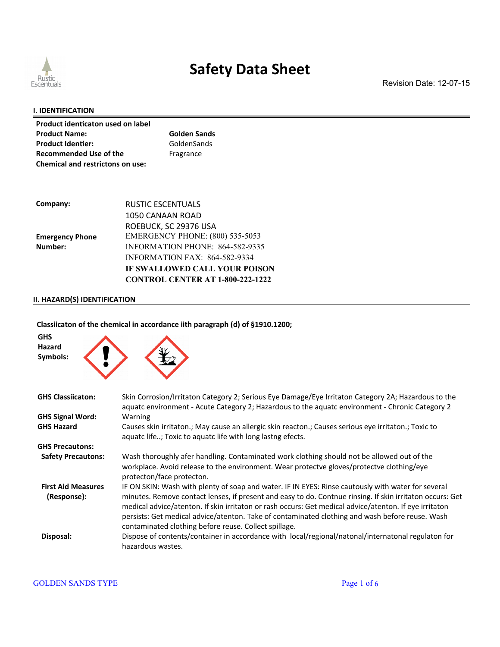

Revision Date: 12-07-15

#### **I. IDENTIFICATION**

| Product identicaton used on label       |                     |
|-----------------------------------------|---------------------|
| <b>Product Name:</b>                    | <b>Golden Sands</b> |
| <b>Product Identier:</b>                | GoldenSands         |
| <b>Recommended Use of the</b>           | Fragrance           |
| <b>Chemical and restrictons on use:</b> |                     |

| Company:               | RUSTIC ESCENTUALS                       |
|------------------------|-----------------------------------------|
|                        | 1050 CANAAN ROAD                        |
|                        | ROEBUCK, SC 29376 USA                   |
| <b>Emergency Phone</b> | <b>EMERGENCY PHONE: (800) 535-5053</b>  |
| Number:                | INFORMATION PHONE: 864-582-9335         |
|                        | <b>INFORMATION FAX: 864-582-9334</b>    |
|                        | IF SWALLOWED CALL YOUR POISON           |
|                        | <b>CONTROL CENTER AT 1-800-222-1222</b> |

### **II. HAZARD(S) IDENTIFICATION**

#### **Classiicaton of the chemical in accordance iith paragraph (d) of §1910.1200;**

| <b>GHS</b><br>Hazard<br>Symbols:         |                                                                                                                                                                                                                                                                                                                                                                                                                                                                                       |
|------------------------------------------|---------------------------------------------------------------------------------------------------------------------------------------------------------------------------------------------------------------------------------------------------------------------------------------------------------------------------------------------------------------------------------------------------------------------------------------------------------------------------------------|
| <b>GHS Classiicaton:</b>                 | Skin Corrosion/Irritaton Category 2; Serious Eye Damage/Eye Irritaton Category 2A; Hazardous to the<br>aquatc environment - Acute Category 2; Hazardous to the aquatc environment - Chronic Category 2                                                                                                                                                                                                                                                                                |
| <b>GHS Signal Word:</b>                  | Warning                                                                                                                                                                                                                                                                                                                                                                                                                                                                               |
| <b>GHS Hazard</b>                        | Causes skin irritaton.; May cause an allergic skin reacton.; Causes serious eye irritaton.; Toxic to<br>aquatc life; Toxic to aquatc life with long lastng efects.                                                                                                                                                                                                                                                                                                                    |
| <b>GHS Precautons:</b>                   |                                                                                                                                                                                                                                                                                                                                                                                                                                                                                       |
| <b>Safety Precautons:</b>                | Wash thoroughly afer handling. Contaminated work clothing should not be allowed out of the<br>workplace. Avoid release to the environment. Wear protectve gloves/protectve clothing/eye<br>protecton/face protecton.                                                                                                                                                                                                                                                                  |
| <b>First Aid Measures</b><br>(Response): | IF ON SKIN: Wash with plenty of soap and water. IF IN EYES: Rinse cautously with water for several<br>minutes. Remove contact lenses, if present and easy to do. Contnue rinsing. If skin irritaton occurs: Get<br>medical advice/atenton. If skin irritaton or rash occurs: Get medical advice/atenton. If eye irritaton<br>persists: Get medical advice/atenton. Take of contaminated clothing and wash before reuse. Wash<br>contaminated clothing before reuse. Collect spillage. |
| Disposal:                                | Dispose of contents/container in accordance with local/regional/natonal/internatonal regulaton for<br>hazardous wastes.                                                                                                                                                                                                                                                                                                                                                               |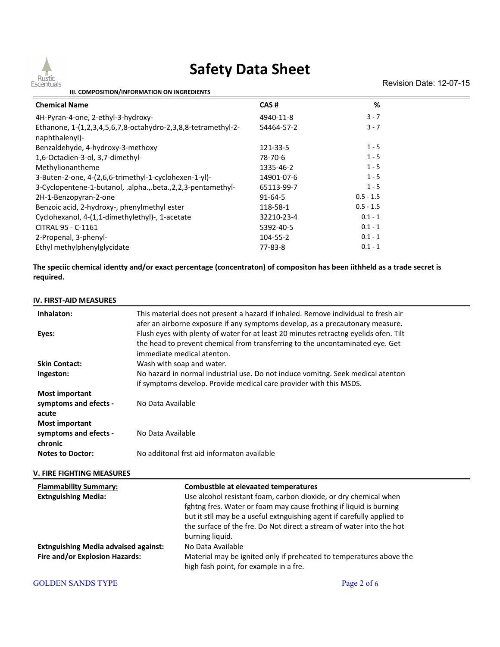

Revision Date: 12-07-15

| III. COMPOSITION/INFORMATION ON INGREDIENTS                                     |               |             |  |
|---------------------------------------------------------------------------------|---------------|-------------|--|
| <b>Chemical Name</b>                                                            | CAS#          | %           |  |
| 4H-Pyran-4-one, 2-ethyl-3-hydroxy-                                              | 4940-11-8     | $3 - 7$     |  |
| Ethanone, 1-(1,2,3,4,5,6,7,8-octahydro-2,3,8,8-tetramethyl-2-<br>naphthalenyl)- | 54464-57-2    | $3 - 7$     |  |
| Benzaldehyde, 4-hydroxy-3-methoxy                                               | 121-33-5      | $1 - 5$     |  |
| 1,6-Octadien-3-ol, 3,7-dimethyl-                                                | 78-70-6       | $1 - 5$     |  |
| Methylionantheme                                                                | 1335-46-2     | $1 - 5$     |  |
| 3-Buten-2-one, 4-(2,6,6-trimethyl-1-cyclohexen-1-yl)-                           | 14901-07-6    | $1 - 5$     |  |
| 3-Cyclopentene-1-butanol, .alpha.,.beta., 2, 2, 3-pentamethyl-                  | 65113-99-7    | $1 - 5$     |  |
| 2H-1-Benzopyran-2-one                                                           | $91 - 64 - 5$ | $0.5 - 1.5$ |  |
| Benzoic acid, 2-hydroxy-, phenylmethyl ester                                    | 118-58-1      | $0.5 - 1.5$ |  |
| Cyclohexanol, 4-(1,1-dimethylethyl)-, 1-acetate                                 | 32210-23-4    | $0.1 - 1$   |  |
| CITRAL 95 - C-1161                                                              | 5392-40-5     | $0.1 - 1$   |  |
| 2-Propenal, 3-phenyl-                                                           | 104-55-2      | $0.1 - 1$   |  |
| Ethyl methylphenylglycidate                                                     | 77-83-8       | $0.1 - 1$   |  |

**The speciic chemical identy and/or exact percentage (concentraton) of compositon has been iithheld as a trade secret is required.**

#### **IV. FIRST-AID MEASURES**

| Inhalaton:                                  | This material does not present a hazard if inhaled. Remove individual to fresh air<br>afer an airborne exposure if any symptoms develop, as a precautonary measure. |  |  |
|---------------------------------------------|---------------------------------------------------------------------------------------------------------------------------------------------------------------------|--|--|
|                                             |                                                                                                                                                                     |  |  |
| Eyes:                                       | Flush eyes with plenty of water for at least 20 minutes retractng eyelids ofen. Tilt                                                                                |  |  |
|                                             | the head to prevent chemical from transferring to the uncontaminated eye. Get<br>immediate medical atenton.                                                         |  |  |
|                                             |                                                                                                                                                                     |  |  |
| <b>Skin Contact:</b>                        | Wash with soap and water.                                                                                                                                           |  |  |
| Ingeston:                                   | No hazard in normal industrial use. Do not induce vomitng. Seek medical atenton                                                                                     |  |  |
|                                             | if symptoms develop. Provide medical care provider with this MSDS.                                                                                                  |  |  |
| <b>Most important</b>                       |                                                                                                                                                                     |  |  |
| symptoms and efects -                       | No Data Available                                                                                                                                                   |  |  |
| acute                                       |                                                                                                                                                                     |  |  |
| <b>Most important</b>                       |                                                                                                                                                                     |  |  |
| symptoms and efects -                       | No Data Available                                                                                                                                                   |  |  |
| chronic                                     |                                                                                                                                                                     |  |  |
| <b>Notes to Doctor:</b>                     | No additonal frst aid informaton available                                                                                                                          |  |  |
| <b>V. FIRE FIGHTING MEASURES</b>            |                                                                                                                                                                     |  |  |
|                                             |                                                                                                                                                                     |  |  |
| <b>Flammability Summary:</b>                | <b>Combustble at elevaated temperatures</b>                                                                                                                         |  |  |
| <b>Extnguishing Media:</b>                  | Use alcohol resistant foam, carbon dioxide, or dry chemical when                                                                                                    |  |  |
|                                             | fghtng fres. Water or foam may cause frothing if liquid is burning                                                                                                  |  |  |
|                                             | but it stll may be a useful extnguishing agent if carefully applied to                                                                                              |  |  |
|                                             | the surface of the fre. Do Not direct a stream of water into the hot                                                                                                |  |  |
|                                             | burning liquid.                                                                                                                                                     |  |  |
| <b>Extnguishing Media advaised against:</b> | No Data Available                                                                                                                                                   |  |  |
| Fire and/or Explosion Hazards:              | Material may be ignited only if preheated to temperatures above the                                                                                                 |  |  |
|                                             | high fash point, for example in a fre.                                                                                                                              |  |  |
| <b>GOLDEN SANDS TYPE</b>                    | Page 2 of 6                                                                                                                                                         |  |  |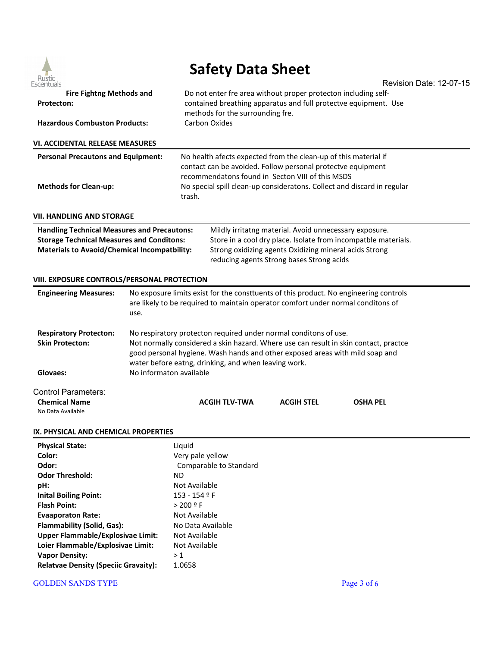

Revision Date: 12-07-15 **Fire Fightng Methods and Protecton:** Do not enter fre area without proper protecton including selfcontained breathing apparatus and full protectve equipment. Use methods for the surrounding fre. **Hazardous Combuston Products:** Carbon Oxides **VI. ACCIDENTAL RELEASE MEASURES Personal Precautons and Equipment:** No health afects expected from the clean-up of this material if contact can be avoided. Follow personal protectve equipment recommendatons found in Secton VIII of this MSDS **Methods for Clean-up:** No special spill clean-up consideratons. Collect and discard in regular trash. **VII. HANDLING AND STORAGE Handling Technical Measures and Precautons:** Mildly irritatng material. Avoid unnecessary exposure. **Storage Technical Measures and Conditons:** Store in a cool dry place. Isolate from incompatble materials. **Materials to Avaoid/Chemical Incompatbility:** Strong oxidizing agents Oxidizing mineral acids Strong reducing agents Strong bases Strong acids **VIII. EXPOSURE CONTROLS/PERSONAL PROTECTION Engineering Measures:** No exposure limits exist for the constuents of this product. No engineering controls are likely to be required to maintain operator comfort under normal conditons of use. **Respiratory Protecton:** No respiratory protecton required under normal conditons of use. **Skin Protecton:** Not normally considered a skin hazard. Where use can result in skin contact, practce good personal hygiene. Wash hands and other exposed areas with mild soap and water before eatng, drinking, and when leaving work. **Glovaes:** No informaton available Control Parameters: **Chemical Name ACGIH TLV-TWA ACGIH STEL OSHA PEL** No Data Available **IX. PHYSICAL AND CHEMICAL PROPERTIES Physical State:** Liquid **Color:** Very pale yellow **Odor:** Comparable to Standard **Odor Threshold:** ND **pH:** Not Available **Inital Boiling Point:** 153 - 154 ° F **Flash Point:** > 200 º F **Evaaporaton Rate:** Not Available **Flammability (Solid, Gas):** No Data Available **Upper Flammable/Explosivae Limit:** Not Available Loier Flammable/Explosivae Limit: Not Available **Vapor Density:**  $>1$ Relatvae Density (Speciic Gravaity): 1.0658

#### GOLDEN SANDS TYPE Page 3 of 6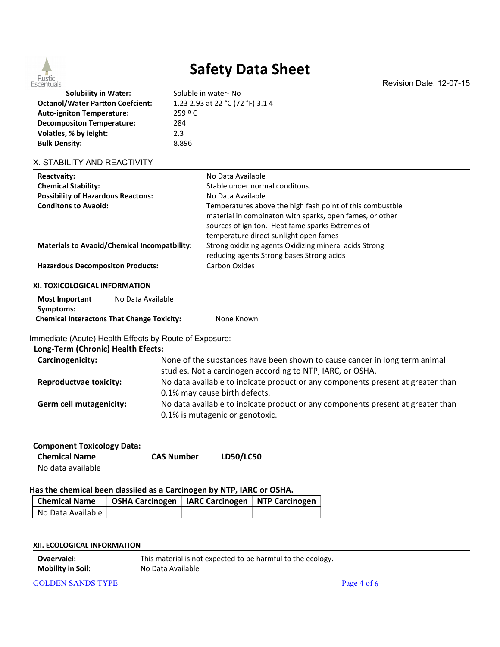

Revision Date: 12-07-15

**Solubility in Water:** Soluble in water- No **Octanol/Water Parton Coefcient:** 1.23 2.93 at 22 °C (72 °F) 3.1 4 **Auto-igniton Temperature:** 259 º C **Decompositon Temperature:** 284 **Volatles, % by ieight:** 2.3 **Bulk Density:** 8.896

#### X. STABILITY AND REACTIVITY

| Reactvaity:                                         | No Data Available                                                                                                                                                                                                   |
|-----------------------------------------------------|---------------------------------------------------------------------------------------------------------------------------------------------------------------------------------------------------------------------|
| <b>Chemical Stability:</b>                          | Stable under normal conditons.                                                                                                                                                                                      |
| <b>Possibility of Hazardous Reactons:</b>           | No Data Available                                                                                                                                                                                                   |
| <b>Conditons to Avaoid:</b>                         | Temperatures above the high fash point of this combustble<br>material in combinaton with sparks, open fames, or other<br>sources of igniton. Heat fame sparks Extremes of<br>temperature direct sunlight open fames |
| <b>Materials to Avaoid/Chemical Incompatbility:</b> | Strong oxidizing agents Oxidizing mineral acids Strong<br>reducing agents Strong bases Strong acids                                                                                                                 |
| <b>Hazardous Decompositon Products:</b>             | Carbon Oxides                                                                                                                                                                                                       |

#### **XI. TOXICOLOGICAL INFORMATION**

| <b>Most Important</b> | No Data Available                                 |            |
|-----------------------|---------------------------------------------------|------------|
| Symptoms:             |                                                   |            |
|                       | <b>Chemical Interactons That Change Toxicity:</b> | None Known |

Immediate (Acute) Health Effects by Route of Exposure:

### **Long-Term (Chronic) Health Efects:**

| LUIS-TUTTI (UNIUNIIU) TIURIUI LIUUUS. |                                                                                 |
|---------------------------------------|---------------------------------------------------------------------------------|
| Carcinogenicity:                      | None of the substances have been shown to cause cancer in long term animal      |
|                                       | studies. Not a carcinogen according to NTP, IARC, or OSHA.                      |
| <b>Reproductvae toxicity:</b>         | No data available to indicate product or any components present at greater than |
|                                       | 0.1% may cause birth defects.                                                   |
| Germ cell mutagenicity:               | No data available to indicate product or any components present at greater than |
|                                       | 0.1% is mutagenic or genotoxic.                                                 |

| <b>Component Toxicology Data:</b> |                   |                  |
|-----------------------------------|-------------------|------------------|
| <b>Chemical Name</b>              | <b>CAS Number</b> | <b>LD50/LC50</b> |
| No data available                 |                   |                  |

#### **Has the chemical been classiied as a Carcinogen by NTP, IARC or OSHA.**

| <b>Chemical Name</b> | OSHA Carcinogen   IARC Carcinogen   NTP Carcinogen |  |
|----------------------|----------------------------------------------------|--|
| No Data Available    |                                                    |  |

| <b>Ovaervaiei:</b>       | This material is not expected to be harmful to the ecology. |
|--------------------------|-------------------------------------------------------------|
| <b>Mobility in Soil:</b> | No Data Available                                           |

GOLDEN SANDS TYPE Page 4 of 6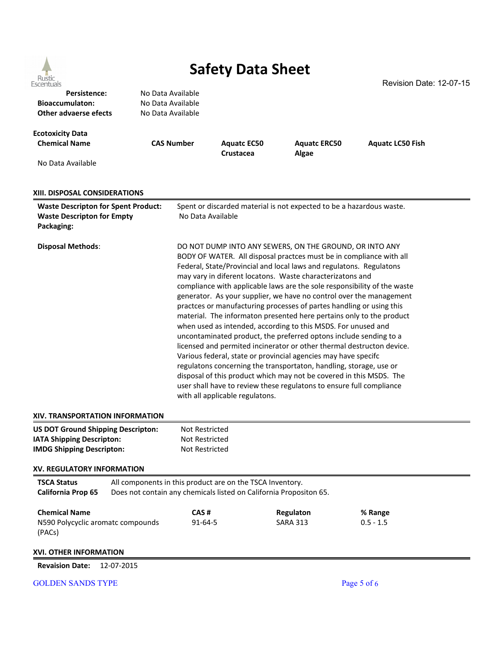

Revision Date: 12-07-15

| כארבו ורחמוא                                                           |                                                                    |                                                                                                                                                                                                                                                                                     |                    |                                                                      |                                                                          |  |                                        |  |  |  |  |  |  |
|------------------------------------------------------------------------|--------------------------------------------------------------------|-------------------------------------------------------------------------------------------------------------------------------------------------------------------------------------------------------------------------------------------------------------------------------------|--------------------|----------------------------------------------------------------------|--------------------------------------------------------------------------|--|----------------------------------------|--|--|--|--|--|--|
| Persistence:<br><b>Bioaccumulaton:</b><br><b>Other advaerse efects</b> |                                                                    | No Data Available                                                                                                                                                                                                                                                                   |                    |                                                                      |                                                                          |  |                                        |  |  |  |  |  |  |
|                                                                        |                                                                    | No Data Available                                                                                                                                                                                                                                                                   |                    |                                                                      |                                                                          |  |                                        |  |  |  |  |  |  |
|                                                                        |                                                                    | No Data Available                                                                                                                                                                                                                                                                   |                    |                                                                      |                                                                          |  |                                        |  |  |  |  |  |  |
|                                                                        |                                                                    |                                                                                                                                                                                                                                                                                     |                    |                                                                      |                                                                          |  |                                        |  |  |  |  |  |  |
| <b>Ecotoxicity Data</b>                                                |                                                                    |                                                                                                                                                                                                                                                                                     |                    |                                                                      |                                                                          |  |                                        |  |  |  |  |  |  |
| <b>Chemical Name</b>                                                   |                                                                    | <b>CAS Number</b>                                                                                                                                                                                                                                                                   | <b>Aquatc EC50</b> | <b>Aquatc ERC50</b>                                                  | <b>Aquatc LC50 Fish</b>                                                  |  |                                        |  |  |  |  |  |  |
|                                                                        |                                                                    |                                                                                                                                                                                                                                                                                     |                    |                                                                      |                                                                          |  |                                        |  |  |  |  |  |  |
|                                                                        |                                                                    |                                                                                                                                                                                                                                                                                     | Crustacea          | Algae                                                                |                                                                          |  |                                        |  |  |  |  |  |  |
| No Data Available                                                      |                                                                    |                                                                                                                                                                                                                                                                                     |                    |                                                                      |                                                                          |  |                                        |  |  |  |  |  |  |
|                                                                        |                                                                    |                                                                                                                                                                                                                                                                                     |                    |                                                                      |                                                                          |  |                                        |  |  |  |  |  |  |
|                                                                        |                                                                    |                                                                                                                                                                                                                                                                                     |                    |                                                                      |                                                                          |  |                                        |  |  |  |  |  |  |
| XIII. DISPOSAL CONSIDERATIONS                                          |                                                                    |                                                                                                                                                                                                                                                                                     |                    |                                                                      |                                                                          |  |                                        |  |  |  |  |  |  |
| <b>Waste Descripton for Spent Product:</b>                             |                                                                    | Spent or discarded material is not expected to be a hazardous waste.                                                                                                                                                                                                                |                    |                                                                      |                                                                          |  |                                        |  |  |  |  |  |  |
| <b>Waste Descripton for Empty</b>                                      |                                                                    | No Data Available                                                                                                                                                                                                                                                                   |                    |                                                                      |                                                                          |  |                                        |  |  |  |  |  |  |
| Packaging:                                                             |                                                                    |                                                                                                                                                                                                                                                                                     |                    |                                                                      |                                                                          |  |                                        |  |  |  |  |  |  |
|                                                                        |                                                                    |                                                                                                                                                                                                                                                                                     |                    |                                                                      |                                                                          |  |                                        |  |  |  |  |  |  |
| <b>Disposal Methods:</b>                                               |                                                                    |                                                                                                                                                                                                                                                                                     |                    | DO NOT DUMP INTO ANY SEWERS, ON THE GROUND, OR INTO ANY              |                                                                          |  |                                        |  |  |  |  |  |  |
|                                                                        |                                                                    | BODY OF WATER. All disposal practces must be in compliance with all                                                                                                                                                                                                                 |                    |                                                                      |                                                                          |  |                                        |  |  |  |  |  |  |
|                                                                        |                                                                    |                                                                                                                                                                                                                                                                                     |                    | Federal, State/Provincial and local laws and regulatons. Regulatons  |                                                                          |  |                                        |  |  |  |  |  |  |
|                                                                        |                                                                    |                                                                                                                                                                                                                                                                                     |                    | may vary in diferent locatons. Waste characterizatons and            |                                                                          |  |                                        |  |  |  |  |  |  |
|                                                                        |                                                                    |                                                                                                                                                                                                                                                                                     |                    |                                                                      |                                                                          |  |                                        |  |  |  |  |  |  |
|                                                                        |                                                                    |                                                                                                                                                                                                                                                                                     |                    |                                                                      | compliance with applicable laws are the sole responsibility of the waste |  |                                        |  |  |  |  |  |  |
|                                                                        |                                                                    |                                                                                                                                                                                                                                                                                     |                    |                                                                      | generator. As your supplier, we have no control over the management      |  |                                        |  |  |  |  |  |  |
|                                                                        |                                                                    |                                                                                                                                                                                                                                                                                     |                    | practces or manufacturing processes of partes handling or using this |                                                                          |  |                                        |  |  |  |  |  |  |
|                                                                        |                                                                    |                                                                                                                                                                                                                                                                                     |                    |                                                                      | material. The informaton presented here pertains only to the product     |  |                                        |  |  |  |  |  |  |
|                                                                        |                                                                    |                                                                                                                                                                                                                                                                                     |                    | when used as intended, according to this MSDS. For unused and        |                                                                          |  |                                        |  |  |  |  |  |  |
|                                                                        |                                                                    |                                                                                                                                                                                                                                                                                     |                    | uncontaminated product, the preferred optons include sending to a    |                                                                          |  |                                        |  |  |  |  |  |  |
|                                                                        |                                                                    |                                                                                                                                                                                                                                                                                     |                    |                                                                      | licensed and permited incinerator or other thermal destructon device.    |  |                                        |  |  |  |  |  |  |
|                                                                        |                                                                    |                                                                                                                                                                                                                                                                                     |                    |                                                                      |                                                                          |  |                                        |  |  |  |  |  |  |
|                                                                        |                                                                    | Various federal, state or provincial agencies may have specifc<br>regulatons concerning the transportaton, handling, storage, use or<br>disposal of this product which may not be covered in this MSDS. The<br>user shall have to review these regulatons to ensure full compliance |                    |                                                                      |                                                                          |  |                                        |  |  |  |  |  |  |
|                                                                        |                                                                    |                                                                                                                                                                                                                                                                                     |                    |                                                                      |                                                                          |  | with all applicable regulatons.        |  |  |  |  |  |  |
|                                                                        |                                                                    |                                                                                                                                                                                                                                                                                     |                    |                                                                      |                                                                          |  |                                        |  |  |  |  |  |  |
|                                                                        |                                                                    |                                                                                                                                                                                                                                                                                     |                    |                                                                      |                                                                          |  | <b>XIV. TRANSPORTATION INFORMATION</b> |  |  |  |  |  |  |
|                                                                        |                                                                    | <b>US DOT Ground Shipping Descripton:</b>                                                                                                                                                                                                                                           |                    | <b>Not Restricted</b>                                                |                                                                          |  |                                        |  |  |  |  |  |  |
| IATA Shipping Descripton:                                              |                                                                    | <b>Not Restricted</b>                                                                                                                                                                                                                                                               |                    |                                                                      |                                                                          |  |                                        |  |  |  |  |  |  |
|                                                                        |                                                                    |                                                                                                                                                                                                                                                                                     |                    |                                                                      |                                                                          |  |                                        |  |  |  |  |  |  |
| <b>IMDG Shipping Descripton:</b>                                       |                                                                    |                                                                                                                                                                                                                                                                                     | Not Restricted     |                                                                      |                                                                          |  |                                        |  |  |  |  |  |  |
| <b>XV. REGULATORY INFORMATION</b>                                      |                                                                    |                                                                                                                                                                                                                                                                                     |                    |                                                                      |                                                                          |  |                                        |  |  |  |  |  |  |
|                                                                        |                                                                    |                                                                                                                                                                                                                                                                                     |                    |                                                                      |                                                                          |  |                                        |  |  |  |  |  |  |
| <b>TSCA Status</b>                                                     |                                                                    | All components in this product are on the TSCA Inventory.                                                                                                                                                                                                                           |                    |                                                                      |                                                                          |  |                                        |  |  |  |  |  |  |
| California Prop 65                                                     | Does not contain any chemicals listed on California Propositon 65. |                                                                                                                                                                                                                                                                                     |                    |                                                                      |                                                                          |  |                                        |  |  |  |  |  |  |
| <b>Chemical Name</b>                                                   |                                                                    | CAS#                                                                                                                                                                                                                                                                                |                    | Regulaton                                                            | % Range                                                                  |  |                                        |  |  |  |  |  |  |
| N590 Polycyclic aromatc compounds                                      |                                                                    | 91-64-5                                                                                                                                                                                                                                                                             |                    | <b>SARA 313</b>                                                      | $0.5 - 1.5$                                                              |  |                                        |  |  |  |  |  |  |
|                                                                        |                                                                    |                                                                                                                                                                                                                                                                                     |                    |                                                                      |                                                                          |  |                                        |  |  |  |  |  |  |
| (PACs)                                                                 |                                                                    |                                                                                                                                                                                                                                                                                     |                    |                                                                      |                                                                          |  |                                        |  |  |  |  |  |  |
|                                                                        |                                                                    |                                                                                                                                                                                                                                                                                     |                    |                                                                      |                                                                          |  |                                        |  |  |  |  |  |  |
| XVI. OTHER INFORMATION                                                 |                                                                    |                                                                                                                                                                                                                                                                                     |                    |                                                                      |                                                                          |  |                                        |  |  |  |  |  |  |

### **Revaision Date:** 12-07-2015

### GOLDEN SANDS TYPE Page 5 of 6